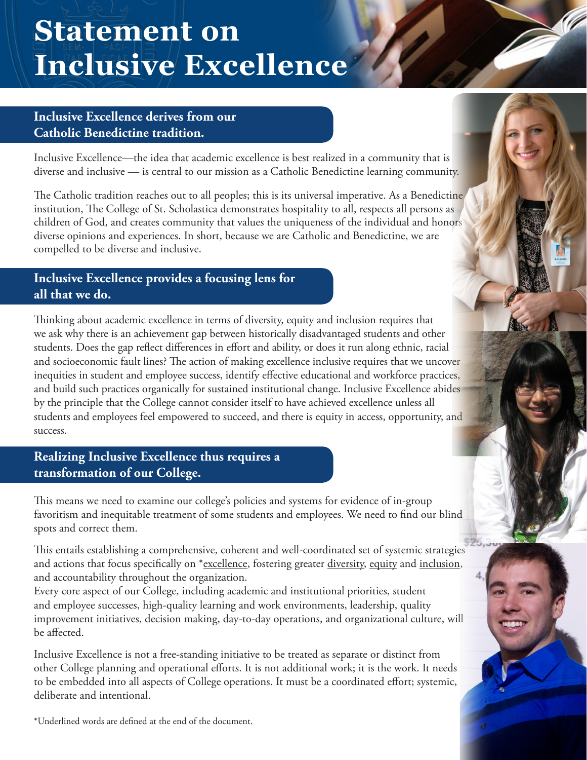# **Statement on Inclusive Excellence**

## **Inclusive Excellence derives from our Catholic Benedictine tradition.**

Inclusive Excellence—the idea that academic excellence is best realized in a community that is diverse and inclusive — is central to our mission as a Catholic Benedictine learning community.

The Catholic tradition reaches out to all peoples; this is its universal imperative. As a Benedictine institution, The College of St. Scholastica demonstrates hospitality to all, respects all persons as children of God, and creates community that values the uniqueness of the individual and honors diverse opinions and experiences. In short, because we are Catholic and Benedictine, we are compelled to be diverse and inclusive.

## **Inclusive Excellence provides a focusing lens for all that we do.**

Thinking about academic excellence in terms of diversity, equity and inclusion requires that we ask why there is an achievement gap between historically disadvantaged students and other students. Does the gap reflect differences in effort and ability, or does it run along ethnic, racial and socioeconomic fault lines? The action of making excellence inclusive requires that we uncover inequities in student and employee success, identify effective educational and workforce practices, and build such practices organically for sustained institutional change. Inclusive Excellence abides by the principle that the College cannot consider itself to have achieved excellence unless all students and employees feel empowered to succeed, and there is equity in access, opportunity, and success.

## **Realizing Inclusive Excellence thus requires a transformation of our College.**

This means we need to examine our college's policies and systems for evidence of in-group favoritism and inequitable treatment of some students and employees. We need to find our blind spots and correct them.

This entails establishing a comprehensive, coherent and well-coordinated set of systemic strategies and actions that focus specifically on \*excellence, fostering greater diversity, equity and inclusion, and accountability throughout the organization.

Every core aspect of our College, including academic and institutional priorities, student and employee successes, high-quality learning and work environments, leadership, quality improvement initiatives, decision making, day-to-day operations, and organizational culture, will be affected.

Inclusive Excellence is not a free-standing initiative to be treated as separate or distinct from other College planning and operational efforts. It is not additional work; it is the work. It needs to be embedded into all aspects of College operations. It must be a coordinated effort; systemic, deliberate and intentional.

\*Underlined words are defined at the end of the document.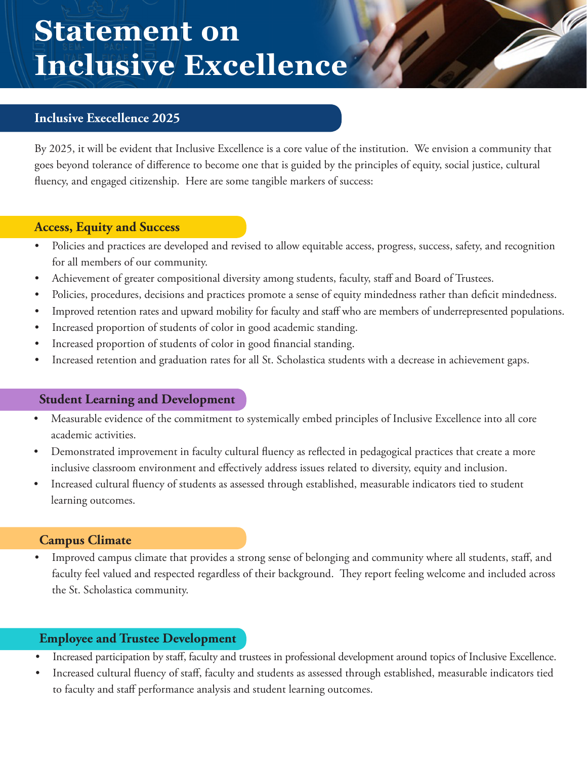# **Statement on Inclusive Excellence**

## **Inclusive Execellence 2025**

By 2025, it will be evident that Inclusive Excellence is a core value of the institution. We envision a community that goes beyond tolerance of difference to become one that is guided by the principles of equity, social justice, cultural fluency, and engaged citizenship. Here are some tangible markers of success:

#### **Access, Equity and Success**

- Policies and practices are developed and revised to allow equitable access, progress, success, safety, and recognition for all members of our community.
- Achievement of greater compositional diversity among students, faculty, staff and Board of Trustees.
- Policies, procedures, decisions and practices promote a sense of equity mindedness rather than deficit mindedness.
- Improved retention rates and upward mobility for faculty and staff who are members of underrepresented populations.
- Increased proportion of students of color in good academic standing.
- Increased proportion of students of color in good financial standing.
- Increased retention and graduation rates for all St. Scholastica students with a decrease in achievement gaps.

#### **Student Learning and Development**

- Measurable evidence of the commitment to systemically embed principles of Inclusive Excellence into all core academic activities.
- Demonstrated improvement in faculty cultural fluency as reflected in pedagogical practices that create a more inclusive classroom environment and effectively address issues related to diversity, equity and inclusion.
- Increased cultural fluency of students as assessed through established, measurable indicators tied to student learning outcomes.

#### **Campus Climate**

• Improved campus climate that provides a strong sense of belonging and community where all students, staff, and faculty feel valued and respected regardless of their background. They report feeling welcome and included across the St. Scholastica community.

### **Employee and Trustee Development**

- Increased participation by staff, faculty and trustees in professional development around topics of Inclusive Excellence.
- Increased cultural fluency of staff, faculty and students as assessed through established, measurable indicators tied to faculty and staff performance analysis and student learning outcomes.